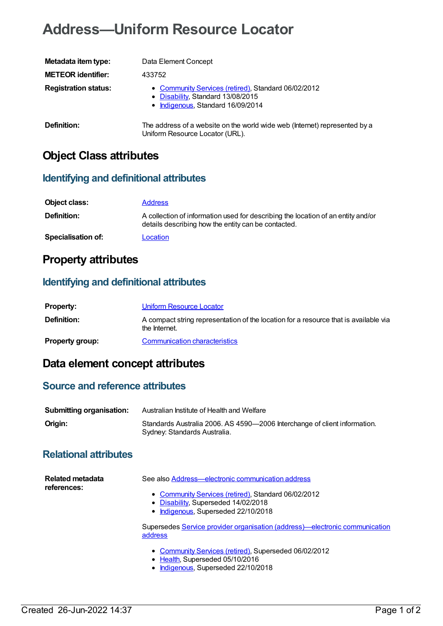# **Address—Uniform Resource Locator**

| Metadata item type:         | Data Element Concept                                                                                                          |
|-----------------------------|-------------------------------------------------------------------------------------------------------------------------------|
| <b>METEOR identifier:</b>   | 433752                                                                                                                        |
| <b>Registration status:</b> | • Community Services (retired), Standard 06/02/2012<br>• Disability, Standard 13/08/2015<br>• Indigenous, Standard 16/09/2014 |
| Definition:                 | The address of a website on the world wide web (Internet) represented by a<br>Uniform Resource Locator (URL).                 |

### **Object Class attributes**

#### **Identifying and definitional attributes**

| Object class:             | <b>Address</b>                                                                                                                          |
|---------------------------|-----------------------------------------------------------------------------------------------------------------------------------------|
| <b>Definition:</b>        | A collection of information used for describing the location of an entity and/or<br>details describing how the entity can be contacted. |
| <b>Specialisation of:</b> | Location                                                                                                                                |

### **Property attributes**

#### **Identifying and definitional attributes**

| <b>Property:</b>       | Uniform Resource Locator                                                                              |
|------------------------|-------------------------------------------------------------------------------------------------------|
| Definition:            | A compact string representation of the location for a resource that is available via<br>the Internet. |
| <b>Property group:</b> | Communication characteristics                                                                         |

## **Data element concept attributes**

#### **Source and reference attributes**

| <b>Submitting organisation:</b> | Australian Institute of Health and Welfare                                                                |
|---------------------------------|-----------------------------------------------------------------------------------------------------------|
| Origin:                         | Standards Australia 2006. AS 4590-2006 Interchange of client information.<br>Sydney: Standards Australia. |

### **Relational attributes**

| Related metadata<br>references: | See also Address—electronic communication address                                                                  |
|---------------------------------|--------------------------------------------------------------------------------------------------------------------|
|                                 | • Community Services (retired), Standard 06/02/2012<br>• Disability, Superseded 14/02/2018                         |
|                                 | • Indigenous, Superseded 22/10/2018<br>Supersedes Service provider organisation (address)—electronic communication |
|                                 | address                                                                                                            |
|                                 | • Community Services (retired), Superseded 06/02/2012<br>• Hoalth Supercodod 05/10/2016                            |

● [Health](https://meteor.aihw.gov.au/RegistrationAuthority/12), Superseded 05/10/2016 • [Indigenous](https://meteor.aihw.gov.au/RegistrationAuthority/6), Superseded 22/10/2018